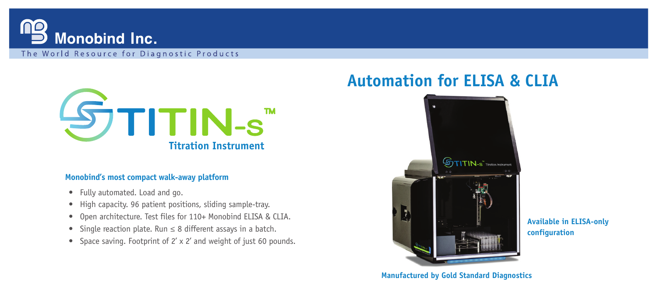

The World Resource for Diagnostic Products



#### **Monobind's most compact walk-away platform**

- Fully automated. Load and go.
- High capacity. 96 patient positions, sliding sample-tray.
- Open architecture. Test files for 110+ Monobind ELISA & CLIA.
- Single reaction plate. Run ≤ 8 different assays in a batch.
- Space saving. Footprint of 2' x 2' and weight of just 60 pounds.

# **Automation for ELISA & CLIA**



**Available in ELISA-only configuration**

**Manufactured by Gold Standard Diagnostics**